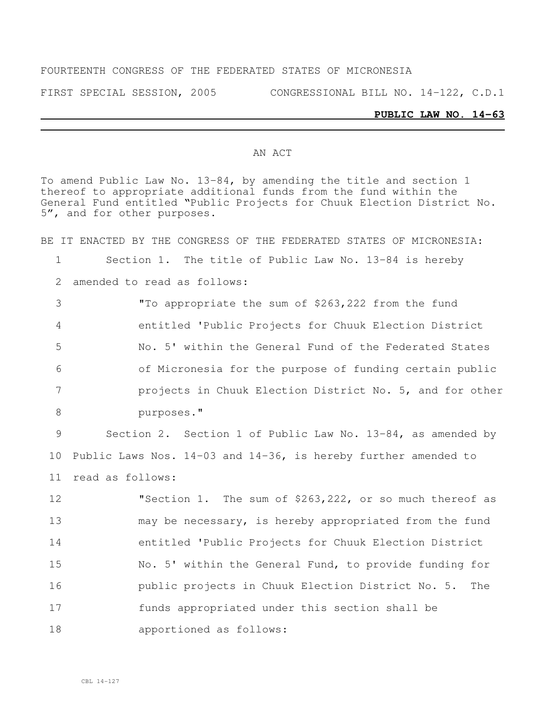### FOURTEENTH CONGRESS OF THE FEDERATED STATES OF MICRONESIA

FIRST SPECIAL SESSION, 2005 CONGRESSIONAL BILL NO. 14-122, C.D.1

### **PUBLIC LAW NO. 14-63**

#### AN ACT

To amend Public Law No. 13-84, by amending the title and section 1 thereof to appropriate additional funds from the fund within the General Fund entitled "Public Projects for Chuuk Election District No. 5", and for other purposes.

BE IT ENACTED BY THE CONGRESS OF THE FEDERATED STATES OF MICRONESIA: Section 1. The title of Public Law No. 13-84 is hereby amended to read as follows: "To appropriate the sum of \$263,222 from the fund entitled 'Public Projects for Chuuk Election District No. 5' within the General Fund of the Federated States of Micronesia for the purpose of funding certain public projects in Chuuk Election District No. 5, and for other purposes." Section 2. Section 1 of Public Law No. 13-84, as amended by Public Laws Nos. 14-03 and 14-36, is hereby further amended to read as follows: "Section 1. The sum of \$263,222, or so much thereof as may be necessary, is hereby appropriated from the fund entitled 'Public Projects for Chuuk Election District 15 No. 5' within the General Fund, to provide funding for **public projects in Chuuk Election District No. 5.** The funds appropriated under this section shall be apportioned as follows: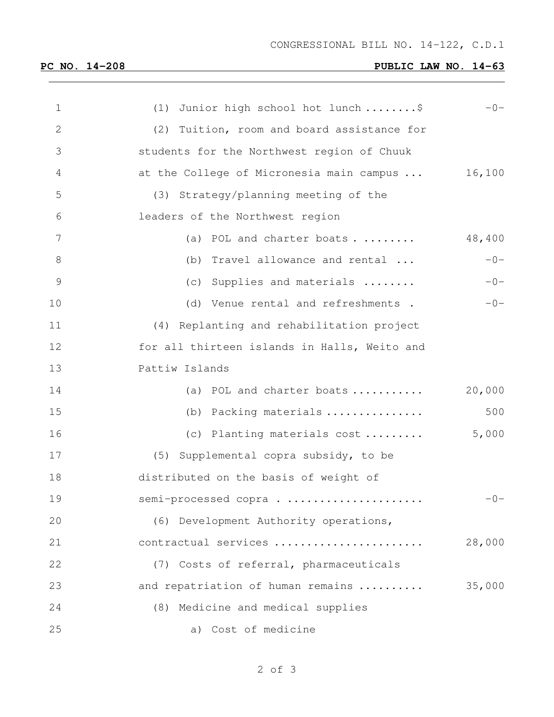# **PC NO. 14-208 PUBLIC LAW NO. 14-63**

| $\mathbf 1$   | (1) Junior high school hot lunch \$          | $-0-$  |
|---------------|----------------------------------------------|--------|
| $\mathbf{2}$  | (2) Tuition, room and board assistance for   |        |
| 3             | students for the Northwest region of Chuuk   |        |
| 4             | at the College of Micronesia main campus     | 16,100 |
| 5             | (3) Strategy/planning meeting of the         |        |
| 6             | leaders of the Northwest region              |        |
| 7             | (a) POL and charter boats                    | 48,400 |
| $8\,$         | (b) Travel allowance and rental              | $-0-$  |
| $\mathcal{G}$ | (c) Supplies and materials                   | $-0-$  |
| 10            | (d) Venue rental and refreshments.           | $-0-$  |
| 11            | (4) Replanting and rehabilitation project    |        |
| 12            | for all thirteen islands in Halls, Weito and |        |
| 13            | Pattiw Islands                               |        |
| 14            | (a) POL and charter boats                    | 20,000 |
| 15            | (b) Packing materials                        | 500    |
| 16            | (c) Planting materials cost                  | 5,000  |
| 17            | (5) Supplemental copra subsidy, to be        |        |
| 18            | distributed on the basis of weight of        |        |
| 19            | semi-processed copra                         | $-0-$  |
| 20            | (6) Development Authority operations,        |        |
| 21            | contractual services                         | 28,000 |
| 22            | (7) Costs of referral, pharmaceuticals       |        |
| 23            | and repatriation of human remains            | 35,000 |
| 24            | (8) Medicine and medical supplies            |        |
| 25            | Cost of medicine<br>a)                       |        |

of 3